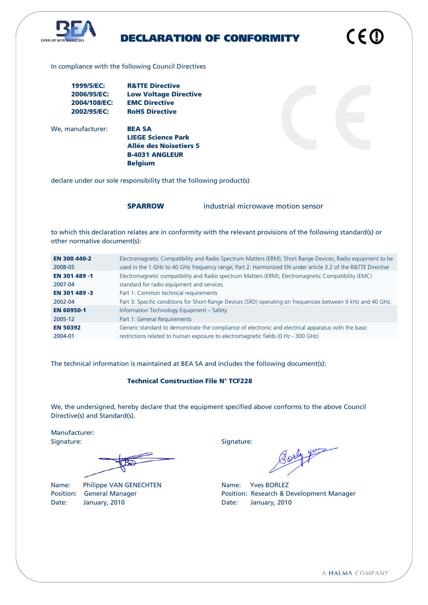

# DECLARATION OF CONFORMITY

In compliance with the following Council Directives

| 1999/5/EC:   | <b>R&amp;TTE Directive</b>   |
|--------------|------------------------------|
| 2006/95/EC:  | <b>Low Voltage Directive</b> |
| 2004/108/EC: | <b>EMC Directive</b>         |
| 2002/95/EC:  | <b>RoHS Directive</b>        |

We, manufacturer: **BEA SA** 

LIEGE Science Park Allée des Noisetiers 5 B-4031 ANGLEUR Belgium

declare under our sole responsibility that the following product(s)

SPARROW industrial microwave motion sensor

to which this declaration relates are in conformity with the relevant provisions of the following standard(s) or other normative document(s):

| <b>EN 300 440-2</b> | Electromagnetic Compatibility and Radio Spectrum Matters (ERM); Short Range Devices; Radio equipment to be   |
|---------------------|--------------------------------------------------------------------------------------------------------------|
| 2008-05             | used in the 1 GHz to 40 GHz frequency range; Part 2: Harmonized EN under article 3.2 of the R&TTE Directive  |
| EN 301 489 -1       | Electromagnetic compatibility and Radio spectrum Matters (ERM); Electromagnetic Compatibility (EMC)          |
| 2007-04             | standard for radio equipment and services                                                                    |
| EN 301 489 -3       | Part 1: Common technical requirements                                                                        |
| 2002-04             | Part 3: Specific conditions for Short-Range Devices (SRD) operating on frequencies between 9 kHz and 40 GHz. |
| <b>EN 60950-1</b>   | Information Technology Equipment - Safety                                                                    |
| 2005-12             | Part 1: General Requirements                                                                                 |
| <b>EN 50392</b>     | Generic standard to demonstrate the compliance of electronic and electrical apparatus with the basic         |
| 2004-01             | restrictions related to human exposure to electromagnetic fields (0 Hz - 300 GHz)                            |

The technical information is maintained at BEA SA and includes the following document(s):

## Technical Construction File N° TCF228

We, the undersigned, hereby declare that the equipment specified above conforms to the above Council Directive(s) and Standard(s).

Manufacturer: Signature: Signature: Signature: Signature: Signature: Signature: Signature: Signature: Signature: Signature: Signature: Signature: Signature: Signature: Signature: Signature: Signature: Signature: Signature: Signature: Si

Name: Philippe VAN GENECHTEN Name: Yves BORLEZ Position: General Manager **Position: Research & Development Manager** Position: Research & Development Manager Date: January, 2010 **Date:** January, 2010

CEO